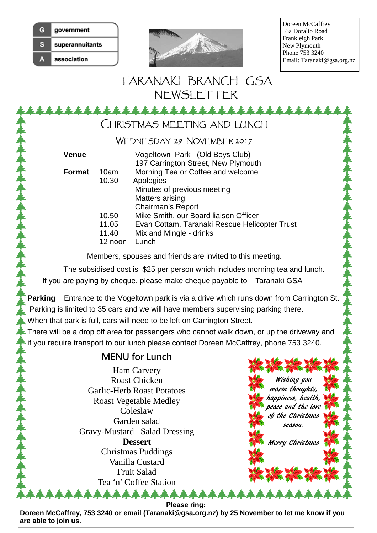| e | government      |
|---|-----------------|
| e | superannuitants |
|   | association     |



Doreen McCaffrey 53a Doralto Road Frankleigh Park New Plymouth Phone 753 3240 Email: Taranaki@gsa.org.nz

## TARANAKI BRANCH GSA NEWSLETTER

\*\*\*\*\*\*\*\*

CHRISTMAS MEETING AND LUNCH

## WEDNESDAY 29 NOVEMBER 2017

| Venue         |                                    | Vogeltown Park (Old Boys Club)<br>197 Carrington Street, New Plymouth                                                      |
|---------------|------------------------------------|----------------------------------------------------------------------------------------------------------------------------|
| <b>Format</b> | 10am<br>10.30                      | Morning Tea or Coffee and welcome<br>Apologies<br>Minutes of previous meeting<br>Matters arising<br>Chairman's Report      |
|               | 10.50<br>11.05<br>11.40<br>12 noon | Mike Smith, our Board liaison Officer<br>Evan Cottam, Taranaki Rescue Helicopter Trust<br>Mix and Mingle - drinks<br>Lunch |

Members, spouses and friends are invited to this meeting.

The subsidised cost is \$25 per person which includes morning tea and lunch.

If you are paying by cheque, please make cheque payable to Taranaki GSA

**Parking** Entrance to the Vogeltown park is via a drive which runs down from Carrington St. Parking is limited to 35 cars and we will have members supervising parking there.

When that park is full, cars will need to be left on Carrington Street.

There will be a drop off area for passengers who cannot walk down, or up the driveway and if you require transport to our lunch please contact Doreen McCaffrey, phone 753 3240.

## **MENU for Lunch**

Ham Carvery Roast Chicken Garlic-Herb Roast Potatoes Roast Vegetable Medley Coleslaw Garden salad Gravy-Mustard– Salad Dressing **Dessert**  Christmas Puddings Vanilla Custard Fruit Salad Tea 'n' Coffee Station

Wishing you warm thoughts, happiness, health, peace and the love of the Christmas season. Merry Christmas

**Please ring:** 

\*\*\*\*

**Doreen McCaffrey, 753 3240 or email (Taranaki@gsa.org.nz) by 25 November to let me know if you are able to join us.**